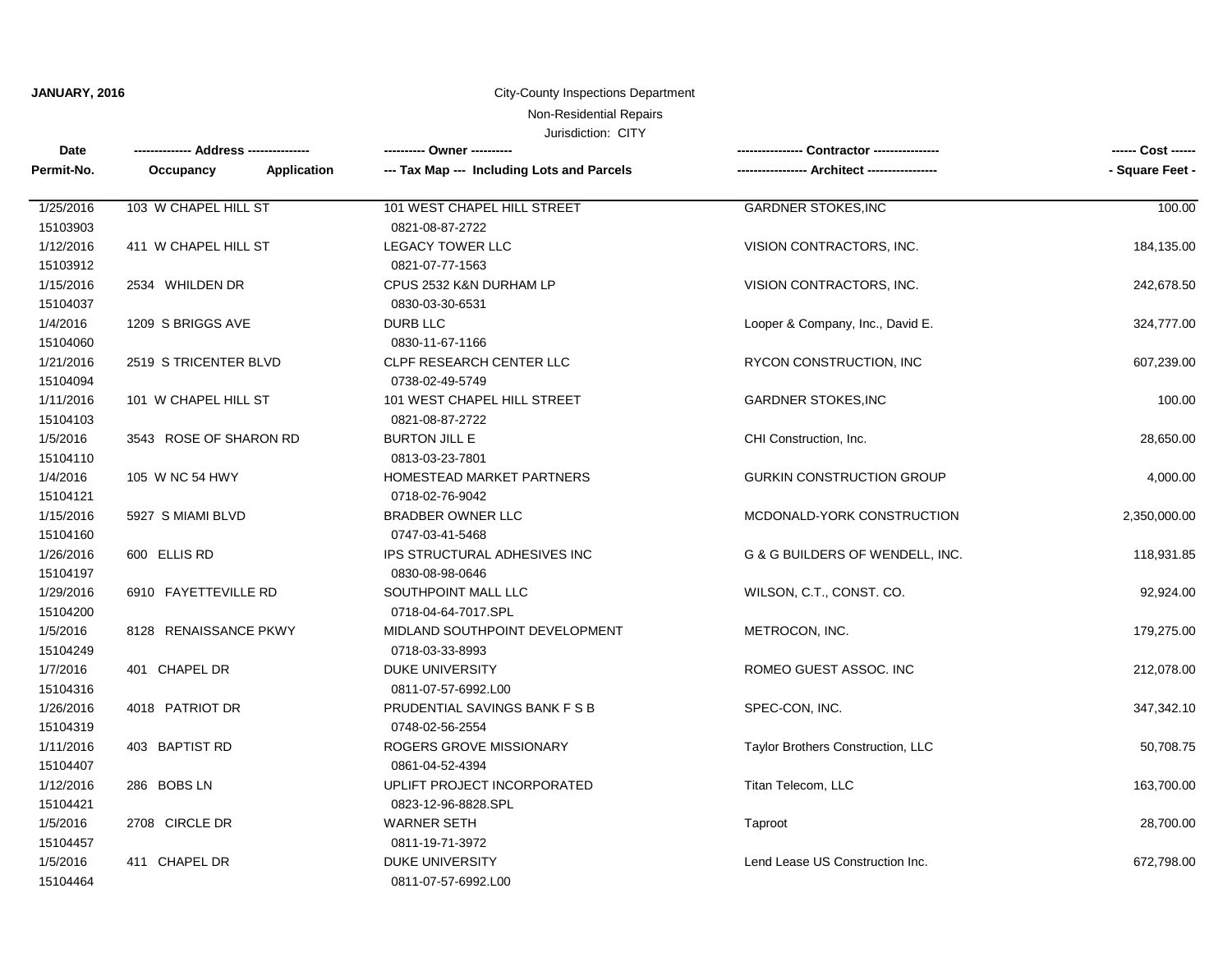**JANUARY, 2016**

#### City-County Inspections Department

# Non-Residential Repairs

Jurisdiction: CITY

| <b>Date</b> |                          | ---------- Owner ----------                |                                   | ------ Cost ------ |
|-------------|--------------------------|--------------------------------------------|-----------------------------------|--------------------|
| Permit-No.  | Occupancy<br>Application | --- Tax Map --- Including Lots and Parcels |                                   | - Square Feet -    |
| 1/25/2016   | 103 W CHAPEL HILL ST     | 101 WEST CHAPEL HILL STREET                | <b>GARDNER STOKES, INC</b>        | 100.00             |
| 15103903    |                          | 0821-08-87-2722                            |                                   |                    |
| 1/12/2016   | 411 W CHAPEL HILL ST     | <b>LEGACY TOWER LLC</b>                    | VISION CONTRACTORS, INC.          | 184,135.00         |
| 15103912    |                          | 0821-07-77-1563                            |                                   |                    |
| 1/15/2016   | 2534 WHILDEN DR          | CPUS 2532 K&N DURHAM LP                    | VISION CONTRACTORS, INC.          | 242,678.50         |
| 15104037    |                          | 0830-03-30-6531                            |                                   |                    |
| 1/4/2016    | 1209 S BRIGGS AVE        | <b>DURB LLC</b>                            | Looper & Company, Inc., David E.  | 324,777.00         |
| 15104060    |                          | 0830-11-67-1166                            |                                   |                    |
| 1/21/2016   | 2519 STRICENTER BLVD     | CLPF RESEARCH CENTER LLC                   | RYCON CONSTRUCTION, INC           | 607,239.00         |
| 15104094    |                          | 0738-02-49-5749                            |                                   |                    |
| 1/11/2016   | 101 W CHAPEL HILL ST     | 101 WEST CHAPEL HILL STREET                | <b>GARDNER STOKES, INC</b>        | 100.00             |
| 15104103    |                          | 0821-08-87-2722                            |                                   |                    |
| 1/5/2016    | 3543 ROSE OF SHARON RD   | <b>BURTON JILL E</b>                       | CHI Construction, Inc.            | 28,650.00          |
| 15104110    |                          | 0813-03-23-7801                            |                                   |                    |
| 1/4/2016    | 105 W NC 54 HWY          | HOMESTEAD MARKET PARTNERS                  | <b>GURKIN CONSTRUCTION GROUP</b>  | 4,000.00           |
| 15104121    |                          | 0718-02-76-9042                            |                                   |                    |
| 1/15/2016   | 5927 S MIAMI BLVD        | <b>BRADBER OWNER LLC</b>                   | MCDONALD-YORK CONSTRUCTION        | 2,350,000.00       |
| 15104160    |                          | 0747-03-41-5468                            |                                   |                    |
| 1/26/2016   | 600 ELLIS RD             | IPS STRUCTURAL ADHESIVES INC               | G & G BUILDERS OF WENDELL, INC.   | 118,931.85         |
| 15104197    |                          | 0830-08-98-0646                            |                                   |                    |
| 1/29/2016   | 6910 FAYETTEVILLE RD     | SOUTHPOINT MALL LLC                        | WILSON, C.T., CONST. CO.          | 92,924.00          |
| 15104200    |                          | 0718-04-64-7017.SPL                        |                                   |                    |
| 1/5/2016    | 8128 RENAISSANCE PKWY    | MIDLAND SOUTHPOINT DEVELOPMENT             | METROCON, INC.                    | 179,275.00         |
| 15104249    |                          | 0718-03-33-8993                            |                                   |                    |
| 1/7/2016    | 401 CHAPEL DR            | <b>DUKE UNIVERSITY</b>                     | ROMEO GUEST ASSOC. INC            | 212,078.00         |
| 15104316    |                          | 0811-07-57-6992.L00                        |                                   |                    |
| 1/26/2016   | 4018 PATRIOT DR          | PRUDENTIAL SAVINGS BANK F S B              | SPEC-CON, INC.                    | 347,342.10         |
| 15104319    |                          | 0748-02-56-2554                            |                                   |                    |
| 1/11/2016   | 403 BAPTIST RD           | ROGERS GROVE MISSIONARY                    | Taylor Brothers Construction, LLC | 50,708.75          |
| 15104407    |                          | 0861-04-52-4394                            |                                   |                    |
| 1/12/2016   | 286 BOBS LN              | UPLIFT PROJECT INCORPORATED                | Titan Telecom, LLC                | 163,700.00         |
| 15104421    |                          | 0823-12-96-8828.SPL                        |                                   |                    |
| 1/5/2016    | 2708 CIRCLE DR           | <b>WARNER SETH</b>                         | Taproot                           | 28,700.00          |
| 15104457    |                          | 0811-19-71-3972                            |                                   |                    |
| 1/5/2016    | 411 CHAPEL DR            | <b>DUKE UNIVERSITY</b>                     | Lend Lease US Construction Inc.   | 672,798.00         |
| 15104464    |                          | 0811-07-57-6992.L00                        |                                   |                    |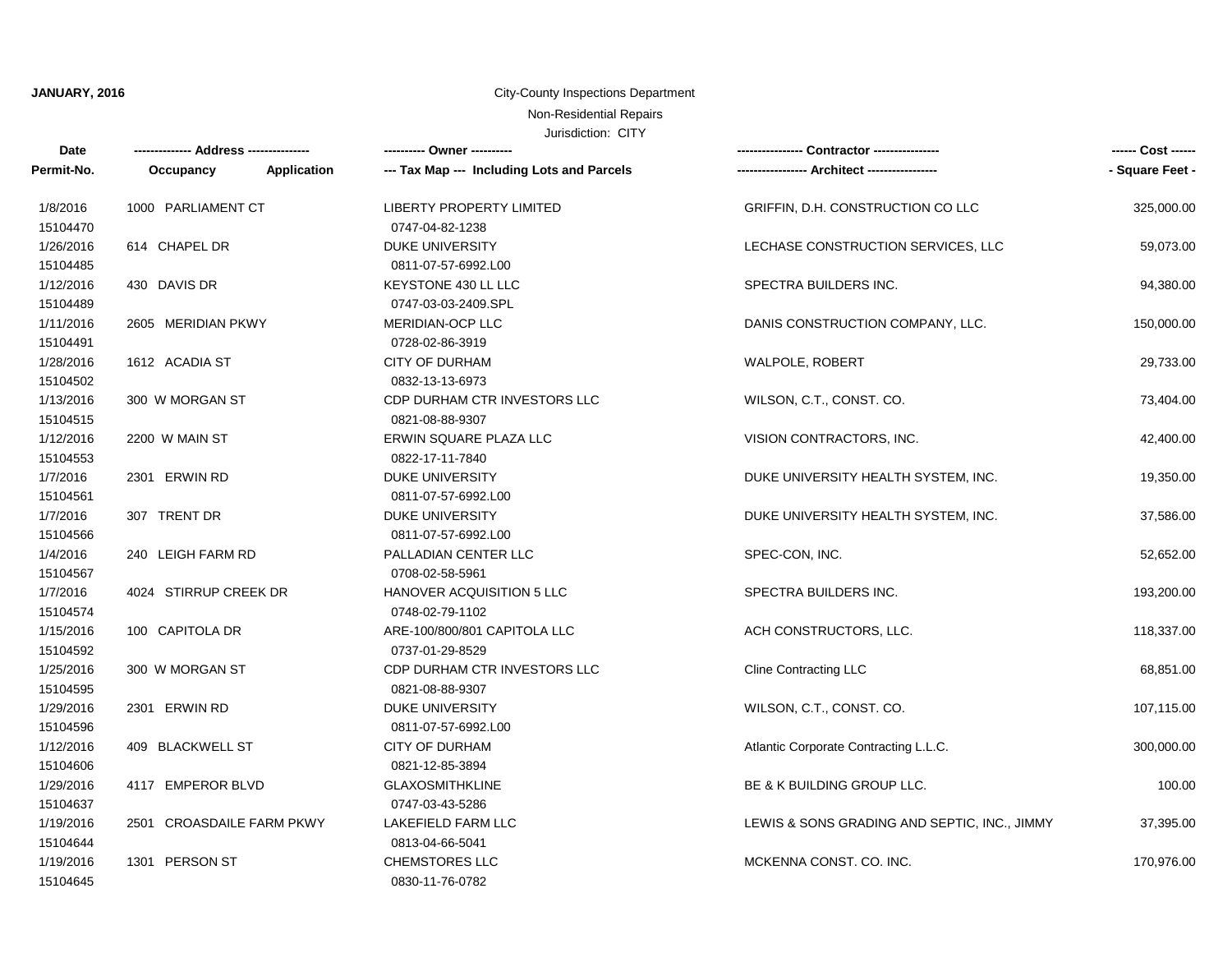## **JANUARY, 2016**

#### City-County Inspections Department

Non-Residential Repairs

Jurisdiction: CITY

| <b>Date</b>           |                           |             |                                            | Contractor ----------------                  | ------ Cost ------ |
|-----------------------|---------------------------|-------------|--------------------------------------------|----------------------------------------------|--------------------|
| Permit-No.            | Occupancy                 | Application | --- Tax Map --- Including Lots and Parcels |                                              | - Square Feet -    |
| 1/8/2016              | 1000 PARLIAMENT CT        |             | <b>LIBERTY PROPERTY LIMITED</b>            | GRIFFIN, D.H. CONSTRUCTION CO LLC            | 325,000.00         |
| 15104470              |                           |             | 0747-04-82-1238                            |                                              |                    |
| 1/26/2016             | 614 CHAPEL DR             |             | <b>DUKE UNIVERSITY</b>                     | LECHASE CONSTRUCTION SERVICES, LLC           | 59,073.00          |
| 15104485              |                           |             | 0811-07-57-6992.L00                        |                                              |                    |
| 1/12/2016             | 430 DAVIS DR              |             | KEYSTONE 430 LL LLC                        | SPECTRA BUILDERS INC.                        | 94,380.00          |
| 15104489              |                           |             | 0747-03-03-2409.SPL                        |                                              |                    |
| 1/11/2016<br>15104491 | 2605 MERIDIAN PKWY        |             | MERIDIAN-OCP LLC<br>0728-02-86-3919        | DANIS CONSTRUCTION COMPANY, LLC.             | 150,000.00         |
|                       |                           |             |                                            |                                              |                    |
| 1/28/2016             | 1612 ACADIA ST            |             | <b>CITY OF DURHAM</b>                      | <b>WALPOLE, ROBERT</b>                       | 29,733.00          |
| 15104502              |                           |             | 0832-13-13-6973                            |                                              |                    |
| 1/13/2016             | 300 W MORGAN ST           |             | CDP DURHAM CTR INVESTORS LLC               | WILSON, C.T., CONST. CO.                     | 73,404.00          |
| 15104515              |                           |             | 0821-08-88-9307                            |                                              |                    |
| 1/12/2016<br>15104553 | 2200 W MAIN ST            |             | ERWIN SQUARE PLAZA LLC<br>0822-17-11-7840  | VISION CONTRACTORS, INC.                     | 42,400.00          |
| 1/7/2016              | 2301 ERWIN RD             |             | <b>DUKE UNIVERSITY</b>                     | DUKE UNIVERSITY HEALTH SYSTEM, INC.          | 19,350.00          |
| 15104561              |                           |             | 0811-07-57-6992.L00                        |                                              |                    |
| 1/7/2016              | 307 TRENT DR              |             | <b>DUKE UNIVERSITY</b>                     | DUKE UNIVERSITY HEALTH SYSTEM, INC.          | 37,586.00          |
| 15104566              |                           |             | 0811-07-57-6992.L00                        |                                              |                    |
| 1/4/2016              | 240 LEIGH FARM RD         |             | PALLADIAN CENTER LLC                       | SPEC-CON, INC.                               | 52,652.00          |
| 15104567              |                           |             | 0708-02-58-5961                            |                                              |                    |
| 1/7/2016              | 4024 STIRRUP CREEK DR     |             | HANOVER ACQUISITION 5 LLC                  | SPECTRA BUILDERS INC.                        | 193,200.00         |
| 15104574              |                           |             | 0748-02-79-1102                            |                                              |                    |
| 1/15/2016             | 100 CAPITOLA DR           |             | ARE-100/800/801 CAPITOLA LLC               | ACH CONSTRUCTORS, LLC.                       | 118,337.00         |
| 15104592              |                           |             | 0737-01-29-8529                            |                                              |                    |
| 1/25/2016             | 300 W MORGAN ST           |             | CDP DURHAM CTR INVESTORS LLC               | <b>Cline Contracting LLC</b>                 | 68,851.00          |
| 15104595              |                           |             | 0821-08-88-9307                            |                                              |                    |
| 1/29/2016             | 2301 ERWIN RD             |             | <b>DUKE UNIVERSITY</b>                     | WILSON, C.T., CONST. CO.                     | 107,115.00         |
| 15104596              |                           |             | 0811-07-57-6992.L00                        |                                              |                    |
| 1/12/2016             | 409 BLACKWELL ST          |             | CITY OF DURHAM                             | Atlantic Corporate Contracting L.L.C.        | 300,000.00         |
| 15104606              |                           |             | 0821-12-85-3894                            |                                              |                    |
| 1/29/2016             | 4117 EMPEROR BLVD         |             | <b>GLAXOSMITHKLINE</b>                     | BE & K BUILDING GROUP LLC.                   | 100.00             |
| 15104637              |                           |             | 0747-03-43-5286                            |                                              |                    |
| 1/19/2016             | 2501 CROASDAILE FARM PKWY |             | LAKEFIELD FARM LLC                         | LEWIS & SONS GRADING AND SEPTIC, INC., JIMMY | 37,395.00          |
| 15104644              |                           |             | 0813-04-66-5041                            |                                              |                    |
| 1/19/2016             | 1301 PERSON ST            |             | <b>CHEMSTORES LLC</b>                      | MCKENNA CONST, CO. INC.                      | 170,976.00         |
| 15104645              |                           |             | 0830-11-76-0782                            |                                              |                    |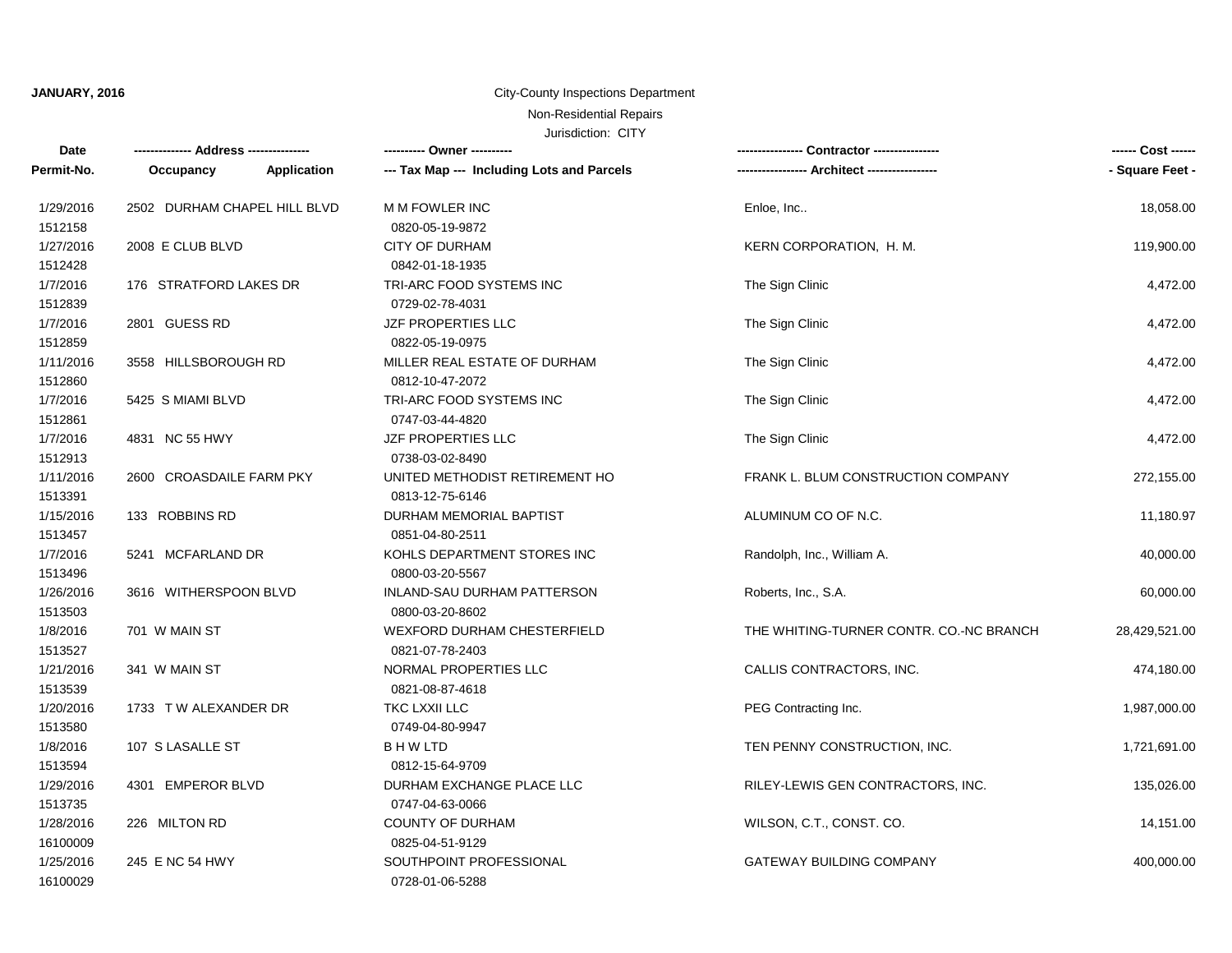## **JANUARY, 2016**

# City-County Inspections Department

# Non-Residential Repairs

Jurisdiction: CITY

| Date       | -------------- Address --------------- | ---------- Owner ----------                |                                         | ------ Cost ------ |
|------------|----------------------------------------|--------------------------------------------|-----------------------------------------|--------------------|
| Permit-No. | Application<br>Occupancy               | --- Tax Map --- Including Lots and Parcels |                                         | - Square Feet -    |
| 1/29/2016  | 2502 DURHAM CHAPEL HILL BLVD           | M M FOWLER INC                             | Enloe, Inc                              | 18,058.00          |
| 1512158    |                                        | 0820-05-19-9872                            |                                         |                    |
| 1/27/2016  | 2008 E CLUB BLVD                       | <b>CITY OF DURHAM</b>                      | KERN CORPORATION, H. M.                 | 119,900.00         |
| 1512428    |                                        | 0842-01-18-1935                            |                                         |                    |
| 1/7/2016   | 176 STRATFORD LAKES DR                 | TRI-ARC FOOD SYSTEMS INC                   | The Sign Clinic                         | 4,472.00           |
| 1512839    |                                        | 0729-02-78-4031                            |                                         |                    |
| 1/7/2016   | 2801 GUESS RD                          | JZF PROPERTIES LLC                         | The Sign Clinic                         | 4,472.00           |
| 1512859    |                                        | 0822-05-19-0975                            |                                         |                    |
| 1/11/2016  | 3558 HILLSBOROUGH RD                   | MILLER REAL ESTATE OF DURHAM               | The Sign Clinic                         | 4,472.00           |
| 1512860    |                                        | 0812-10-47-2072                            |                                         |                    |
| 1/7/2016   | 5425 S MIAMI BLVD                      | TRI-ARC FOOD SYSTEMS INC                   | The Sign Clinic                         | 4,472.00           |
| 1512861    |                                        | 0747-03-44-4820                            |                                         |                    |
| 1/7/2016   | 4831 NC 55 HWY                         | JZF PROPERTIES LLC                         | The Sign Clinic                         | 4,472.00           |
| 1512913    |                                        | 0738-03-02-8490                            |                                         |                    |
| 1/11/2016  | 2600 CROASDAILE FARM PKY               | UNITED METHODIST RETIREMENT HO             | FRANK L. BLUM CONSTRUCTION COMPANY      | 272,155.00         |
| 1513391    |                                        | 0813-12-75-6146                            |                                         |                    |
| 1/15/2016  | 133 ROBBINS RD                         | DURHAM MEMORIAL BAPTIST                    | ALUMINUM CO OF N.C.                     | 11,180.97          |
| 1513457    |                                        | 0851-04-80-2511                            |                                         |                    |
| 1/7/2016   | 5241 MCFARLAND DR                      | KOHLS DEPARTMENT STORES INC                | Randolph, Inc., William A.              | 40,000.00          |
| 1513496    |                                        | 0800-03-20-5567                            |                                         |                    |
| 1/26/2016  | 3616 WITHERSPOON BLVD                  | INLAND-SAU DURHAM PATTERSON                | Roberts, Inc., S.A.                     | 60,000.00          |
| 1513503    |                                        | 0800-03-20-8602                            |                                         |                    |
| 1/8/2016   | 701 W MAIN ST                          | WEXFORD DURHAM CHESTERFIELD                | THE WHITING-TURNER CONTR. CO.-NC BRANCH | 28,429,521.00      |
| 1513527    |                                        | 0821-07-78-2403                            |                                         |                    |
| 1/21/2016  | 341 W MAIN ST                          | NORMAL PROPERTIES LLC                      | CALLIS CONTRACTORS, INC.                | 474,180.00         |
| 1513539    |                                        | 0821-08-87-4618                            |                                         |                    |
| 1/20/2016  | 1733 TW ALEXANDER DR                   | TKC LXXII LLC                              | PEG Contracting Inc.                    | 1,987,000.00       |
| 1513580    |                                        | 0749-04-80-9947                            |                                         |                    |
| 1/8/2016   | 107 S LASALLE ST                       | B H W LTD                                  | TEN PENNY CONSTRUCTION, INC.            | 1,721,691.00       |
| 1513594    |                                        | 0812-15-64-9709                            |                                         |                    |
| 1/29/2016  | 4301 EMPEROR BLVD                      | DURHAM EXCHANGE PLACE LLC                  | RILEY-LEWIS GEN CONTRACTORS, INC.       | 135,026.00         |
| 1513735    |                                        | 0747-04-63-0066                            |                                         |                    |
| 1/28/2016  | 226 MILTON RD                          | <b>COUNTY OF DURHAM</b>                    | WILSON, C.T., CONST. CO.                | 14,151.00          |
| 16100009   |                                        | 0825-04-51-9129                            |                                         |                    |
| 1/25/2016  | 245 E NC 54 HWY                        | SOUTHPOINT PROFESSIONAL                    | <b>GATEWAY BUILDING COMPANY</b>         | 400,000.00         |
| 16100029   |                                        | 0728-01-06-5288                            |                                         |                    |